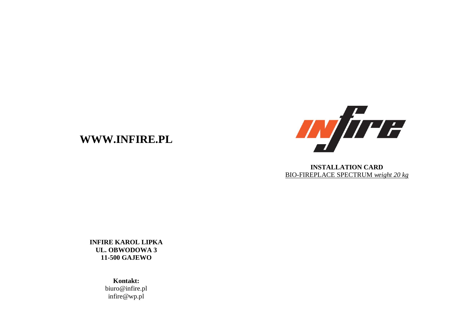## **WWW.INFIRE.PL**



**INSTALLATION CARD** BIO-FIREPLACE SPECTRUM *weight 20 kg*

**INFIRE KAROL LIPKA UL. OBWODOWA 3 11-500 GAJEWO**

> **Kontakt:** biuro@infire.pl infire@wp.pl